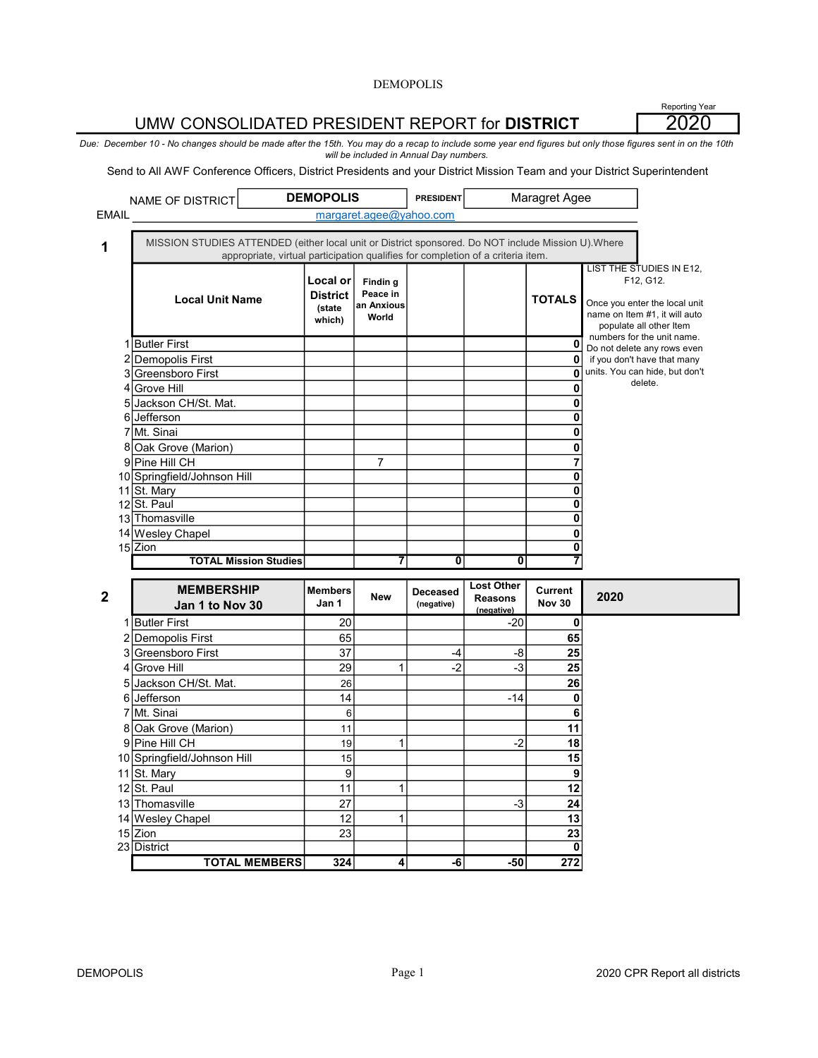# UMW CONSOLIDATED PRESIDENT REPORT for DISTRICT

Reporting Year 2020

Due: December 10 - No changes should be made after the 15th. You may do a recap to include some year end figures but only those figures sent in on the 10th will be included in Annual Day numbers.

Send to All AWF Conference Officers, District Presidents and your District Mission Team and your District Superintendent

|              | NAME OF DISTRICT                                                                                    | <b>DEMOPOLIS</b>                                |                                             | <b>PRESIDENT</b> |                   | Maragret Agee                   |                                                                                                                                                                  |
|--------------|-----------------------------------------------------------------------------------------------------|-------------------------------------------------|---------------------------------------------|------------------|-------------------|---------------------------------|------------------------------------------------------------------------------------------------------------------------------------------------------------------|
| <b>EMAIL</b> |                                                                                                     |                                                 | margaret.agee@yahoo.com                     |                  |                   |                                 |                                                                                                                                                                  |
|              |                                                                                                     |                                                 |                                             |                  |                   |                                 |                                                                                                                                                                  |
| 1            | MISSION STUDIES ATTENDED (either local unit or District sponsored. Do NOT include Mission U). Where |                                                 |                                             |                  |                   |                                 |                                                                                                                                                                  |
|              | appropriate, virtual participation qualifies for completion of a criteria item.                     |                                                 |                                             |                  |                   |                                 |                                                                                                                                                                  |
|              | <b>Local Unit Name</b>                                                                              | Local or<br><b>District</b><br>(state<br>which) | Findin g<br>Peace in<br>an Anxious<br>World |                  |                   | <b>TOTALS</b>                   | LIST THE STUDIES IN E12,<br>F12, G12.<br>Once you enter the local unit<br>name on Item #1, it will auto<br>populate all other Item<br>numbers for the unit name. |
| 1            | <b>Butler First</b>                                                                                 |                                                 |                                             |                  |                   | 0                               | Do not delete any rows even                                                                                                                                      |
| 2            | <b>Demopolis First</b>                                                                              |                                                 |                                             |                  |                   | 0                               | if you don't have that many                                                                                                                                      |
| 3            | <b>Greensboro First</b>                                                                             |                                                 |                                             |                  |                   | O                               | units. You can hide, but don't                                                                                                                                   |
| 4            | <b>Grove Hill</b>                                                                                   |                                                 |                                             |                  |                   | O                               | delete.                                                                                                                                                          |
| 5            | Jackson CH/St. Mat.                                                                                 |                                                 |                                             |                  |                   | 0                               |                                                                                                                                                                  |
|              | 6 Jefferson                                                                                         |                                                 |                                             |                  |                   | 0                               |                                                                                                                                                                  |
| 7            | Mt. Sinai                                                                                           |                                                 |                                             |                  |                   | 0                               |                                                                                                                                                                  |
| 8            | Oak Grove (Marion)                                                                                  |                                                 |                                             |                  |                   | 0                               |                                                                                                                                                                  |
|              | 9 Pine Hill CH                                                                                      |                                                 | $\overline{7}$                              |                  |                   | 7                               |                                                                                                                                                                  |
|              | 10 Springfield/Johnson Hill                                                                         |                                                 |                                             |                  |                   | 0                               |                                                                                                                                                                  |
|              | 11 St. Mary                                                                                         |                                                 |                                             |                  |                   | 0                               |                                                                                                                                                                  |
|              | 12 St. Paul                                                                                         |                                                 |                                             |                  |                   | 0                               |                                                                                                                                                                  |
|              | 13 Thomasville                                                                                      |                                                 |                                             |                  |                   | 0                               |                                                                                                                                                                  |
|              | 14 Wesley Chapel                                                                                    |                                                 |                                             |                  |                   | 0                               |                                                                                                                                                                  |
|              | $15$ Zion                                                                                           |                                                 |                                             |                  |                   | 0                               |                                                                                                                                                                  |
|              | <b>TOTAL Mission Studies</b>                                                                        |                                                 | 7                                           | 0                | 0                 | 7                               |                                                                                                                                                                  |
|              |                                                                                                     |                                                 |                                             |                  | <b>Lost Other</b> |                                 |                                                                                                                                                                  |
| $\mathbf 2$  | <b>MEMBERSHIP</b>                                                                                   | <b>Members</b><br>Jan 1                         | <b>New</b>                                  | Deceased         | <b>Reasons</b>    | <b>Current</b><br><b>Nov 30</b> | 2020                                                                                                                                                             |
|              | Jan 1 to Nov 30                                                                                     |                                                 |                                             | (negative)       | (negative)        |                                 |                                                                                                                                                                  |
| 1            | <b>Butler First</b>                                                                                 | 20                                              |                                             |                  | $-20$             | 0                               |                                                                                                                                                                  |
|              | 2 Demopolis First                                                                                   | 65                                              |                                             |                  |                   | 65                              |                                                                                                                                                                  |
| 3            | Greensboro First                                                                                    | 37                                              |                                             | -4               | -8                | 25                              |                                                                                                                                                                  |
| 4            | Grove Hill                                                                                          | 29                                              | 1                                           | $-2$             | $-3$              | 25                              |                                                                                                                                                                  |
| 5            | Jackson CH/St. Mat.                                                                                 | 26                                              |                                             |                  |                   | 26                              |                                                                                                                                                                  |
| 6            | Jefferson                                                                                           | 14                                              |                                             |                  | $-14$             | 0                               |                                                                                                                                                                  |
| 7            | Mt. Sinai                                                                                           | 6                                               |                                             |                  |                   | 6                               |                                                                                                                                                                  |
| 8            | Oak Grove (Marion)                                                                                  | 11                                              |                                             |                  |                   | 11                              |                                                                                                                                                                  |
| 9            | Pine Hill CH                                                                                        | 19                                              | 1                                           |                  | $-2$              | 18                              |                                                                                                                                                                  |
|              | 10 Springfield/Johnson Hill                                                                         | 15                                              |                                             |                  |                   | 15                              |                                                                                                                                                                  |
| 11           | St. Mary                                                                                            | 9                                               |                                             |                  |                   | 9                               |                                                                                                                                                                  |
|              | 12 St. Paul                                                                                         | 11                                              | 1                                           |                  |                   | 12                              |                                                                                                                                                                  |

15 Zion

 $324$  4 -6 -50 272

13 Thomasville 27 27 3 24 14 12 1 13 Wesley Chapel 15 Zion 23 23 23 23 |District | | | | **0** 

TOTAL MEMBERS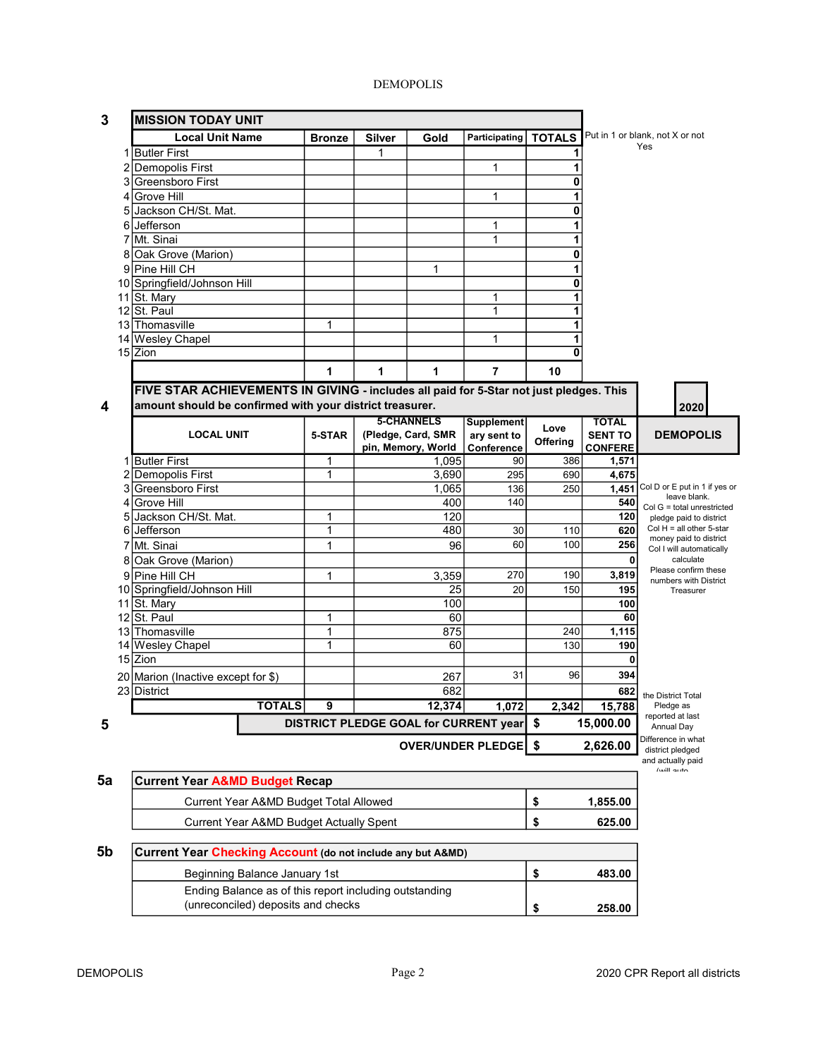| 3  |                                               | <b>MISSION TODAY UNIT</b>                                                              |                   |               |                    |                                       |            |                     |                                                      |
|----|-----------------------------------------------|----------------------------------------------------------------------------------------|-------------------|---------------|--------------------|---------------------------------------|------------|---------------------|------------------------------------------------------|
|    |                                               | <b>Local Unit Name</b>                                                                 | <b>Bronze</b>     | <b>Silver</b> | Gold               | Participating   TOTALS                |            |                     | Put in 1 or blank, not X or not                      |
|    |                                               | 1 Butler First                                                                         |                   | 1             |                    |                                       | 1          |                     | Yes                                                  |
|    | 2                                             | Demopolis First                                                                        |                   |               |                    | 1                                     | 1          |                     |                                                      |
|    | 3                                             | Greensboro First                                                                       |                   |               |                    |                                       | 0          |                     |                                                      |
|    |                                               | 4 Grove Hill                                                                           |                   |               |                    | 1                                     | 1          |                     |                                                      |
|    | 5                                             | Jackson CH/St. Mat.                                                                    |                   |               |                    |                                       | 0          |                     |                                                      |
|    | 6                                             | Jefferson                                                                              |                   |               |                    | 1                                     | 1          |                     |                                                      |
|    | 7                                             | Mt. Sinai                                                                              |                   |               |                    | 1                                     | 1          |                     |                                                      |
|    |                                               | 8 Oak Grove (Marion)                                                                   |                   |               |                    |                                       | 0          |                     |                                                      |
|    |                                               | 9 Pine Hill CH                                                                         |                   |               | 1                  |                                       | 1          |                     |                                                      |
|    |                                               | 10 Springfield/Johnson Hill                                                            |                   |               |                    |                                       | 0          |                     |                                                      |
|    |                                               | 11 St. Mary                                                                            |                   |               |                    | 1                                     | 1          |                     |                                                      |
|    |                                               | 12 St. Paul                                                                            |                   |               |                    | 1                                     | 1          |                     |                                                      |
|    |                                               | 13 Thomasville                                                                         | 1                 |               |                    |                                       | 1          |                     |                                                      |
|    |                                               | 14 Wesley Chapel                                                                       |                   |               |                    | $\mathbf{1}$                          | 1          |                     |                                                      |
|    |                                               | 15 Zion                                                                                |                   |               |                    |                                       | 0          |                     |                                                      |
|    |                                               |                                                                                        | 1                 | 1             | 1                  | $\overline{7}$                        | 10         |                     |                                                      |
|    |                                               | FIVE STAR ACHIEVEMENTS IN GIVING - includes all paid for 5-Star not just pledges. This |                   |               |                    |                                       |            |                     |                                                      |
| 4  |                                               | amount should be confirmed with your district treasurer.                               |                   |               |                    |                                       |            |                     | 2020                                                 |
|    |                                               |                                                                                        |                   |               | <b>5-CHANNELS</b>  | Supplement                            |            | <b>TOTAL</b>        |                                                      |
|    |                                               | <b>LOCAL UNIT</b>                                                                      | 5-STAR            |               | (Pledge, Card, SMR | ary sent to                           | Love       | <b>SENT TO</b>      | <b>DEMOPOLIS</b>                                     |
|    |                                               |                                                                                        |                   |               | pin, Memory, World | Conference                            | Offering   | <b>CONFERE</b>      |                                                      |
|    | 1                                             | <b>Butler First</b>                                                                    | 1                 |               | 1,095              | 90                                    | 386        | 1,571               |                                                      |
|    |                                               | 2 Demopolis First                                                                      | 1                 |               | 3,690              | 295                                   | 690        | 4,675               |                                                      |
|    | 3                                             | <b>Greensboro First</b>                                                                |                   |               | 1,065              | 136                                   | 250        | 1,451               | Col D or E put in 1 if yes or<br>leave blank.        |
|    | 4                                             | <b>Grove Hill</b>                                                                      |                   |               | 400                | 140                                   |            | 540                 | $Col G = total$ unrestricted                         |
|    | 5                                             | Jackson CH/St. Mat.                                                                    | 1                 |               | 120                |                                       |            | 120                 | pledge paid to district                              |
|    |                                               | 6 Jefferson                                                                            | 1                 |               | 480                | 30                                    | 110        | 620                 | Col $H =$ all other 5-star<br>money paid to district |
|    | 7                                             | Mt. Sinai                                                                              | 1                 |               | 96                 | 60                                    | 100        | 256                 | Col I will automatically                             |
|    |                                               | 8 Oak Grove (Marion)                                                                   |                   |               |                    |                                       |            | 0                   | calculate<br>Please confirm these                    |
|    |                                               | 9 Pine Hill CH                                                                         | 1                 |               | 3,359              | 270                                   | 190        | 3,819               | numbers with District                                |
|    |                                               | 10 Springfield/Johnson Hill                                                            |                   |               | 25                 | 20                                    | 150        | 195                 | Treasurer                                            |
|    |                                               | 11 St. Mary                                                                            |                   |               | 100                |                                       |            | 100                 |                                                      |
|    |                                               | $12$ St. Paul                                                                          | 1                 |               | 60                 |                                       |            | 60                  |                                                      |
|    |                                               | 13 Thomasville                                                                         | 1<br>$\mathbf{1}$ |               | 875<br>60          |                                       | 240<br>130 | 1,115<br>190        |                                                      |
|    |                                               | 14 Wesley Chapel<br>15 Zion                                                            |                   |               |                    |                                       |            | 0                   |                                                      |
|    |                                               |                                                                                        |                   |               |                    | 31                                    | 96         | 394                 |                                                      |
|    |                                               | 20 Marion (Inactive except for \$)                                                     |                   |               | 267                |                                       |            |                     |                                                      |
|    |                                               | 23 District<br><b>TOTALS</b>                                                           | 9                 |               | 682<br>12.374      | 1.072                                 |            | 682                 | the District Total                                   |
|    |                                               |                                                                                        |                   |               |                    |                                       | 2,342      | 15,788<br>15,000.00 | Pledge as<br>reported at last                        |
| 5  |                                               |                                                                                        |                   |               |                    | DISTRICT PLEDGE GOAL for CURRENT year | \$         |                     | Annual Day                                           |
|    |                                               |                                                                                        |                   |               |                    | OVER/UNDER PLEDGE \$                  |            | 2,626.00            | Difference in what<br>district pledged               |
|    |                                               |                                                                                        |                   |               |                    |                                       |            |                     | and actually paid<br>Asrill outo                     |
| 5a |                                               | <b>Current Year A&amp;MD Budget Recap</b>                                              |                   |               |                    |                                       |            |                     |                                                      |
|    |                                               |                                                                                        |                   |               |                    |                                       |            |                     |                                                      |
|    | Current Year A&MD Budget Total Allowed        |                                                                                        |                   |               |                    |                                       | \$         | 1,855.00            |                                                      |
|    | \$<br>Current Year A&MD Budget Actually Spent |                                                                                        |                   |               |                    |                                       |            | 625.00              |                                                      |
| 5b |                                               | Current Year Checking Account (do not include any but A&MD)                            |                   |               |                    |                                       |            |                     |                                                      |
|    |                                               | Beginning Balance January 1st                                                          |                   |               |                    |                                       | \$         | 483.00              |                                                      |
|    |                                               | Ending Balance as of this report including outstanding                                 |                   |               |                    |                                       |            |                     |                                                      |
|    |                                               | (unreconciled) deposits and checks                                                     |                   |               |                    |                                       | \$         | 258.00              |                                                      |
|    |                                               |                                                                                        |                   |               |                    |                                       |            |                     |                                                      |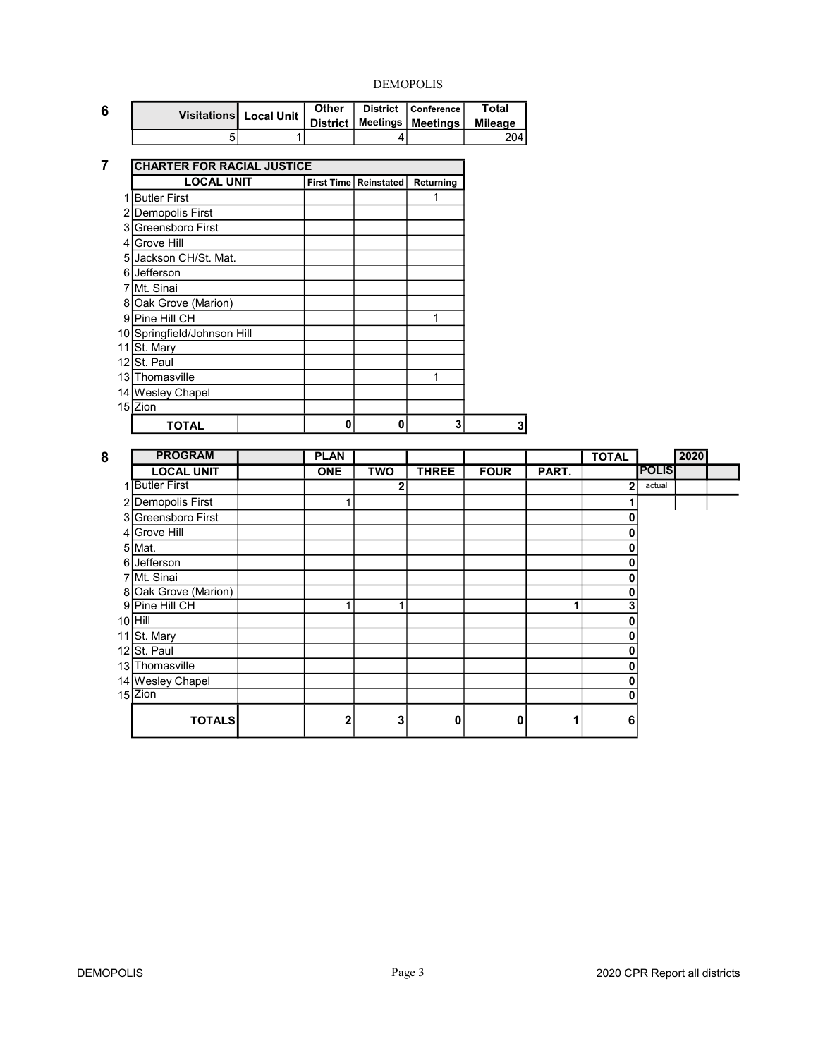٦

| 6 | Visitations Local Unit   District   Meetings   Meetings   Mileage | <b>Other</b> | District   Conference | Total |
|---|-------------------------------------------------------------------|--------------|-----------------------|-------|
|   |                                                                   |              |                       | 204 l |

#### 7 CHARTER FOR RACIAL JUSTICE

|      | <b>LOCAL UNIT</b>           |   | First Time   Reinstated | Returning |
|------|-----------------------------|---|-------------------------|-----------|
|      | <b>Butler First</b>         |   |                         |           |
| 2    | Demopolis First             |   |                         |           |
| 3    | Greensboro First            |   |                         |           |
| 4    | Grove Hill                  |   |                         |           |
| 5    | Jackson CH/St. Mat.         |   |                         |           |
| 6    | Jefferson                   |   |                         |           |
|      | Mt. Sinai                   |   |                         |           |
| 8    | Oak Grove (Marion)          |   |                         |           |
| 9    | Pine Hill CH                |   |                         | 1         |
|      | 10 Springfield/Johnson Hill |   |                         |           |
| 11   | St. Mary                    |   |                         |           |
| 12 I | St. Paul                    |   |                         |           |
|      | 13 Thomasville              |   |                         | 1         |
|      | 14 Wesley Chapel            |   |                         |           |
|      | 15 Zion                     |   |                         |           |
|      | TOTAL                       | 0 | 0                       | 3         |

| 8 | <b>PROGRAM</b>       | <b>PLAN</b>  |            |              |             |       | <b>TOTAL</b> |              | 2020 |  |
|---|----------------------|--------------|------------|--------------|-------------|-------|--------------|--------------|------|--|
|   | <b>LOCAL UNIT</b>    | <b>ONE</b>   | <b>TWO</b> | <b>THREE</b> | <b>FOUR</b> | PART. |              | <b>POLIS</b> |      |  |
|   | 1 Butler First       |              | 2          |              |             |       | 2            | actual       |      |  |
|   | 2 Demopolis First    |              |            |              |             |       |              |              |      |  |
|   | 3 Greensboro First   |              |            |              |             |       | O            |              |      |  |
|   | 4 Grove Hill         |              |            |              |             |       | ŋ            |              |      |  |
|   | 5 Mat.               |              |            |              |             |       | ŋ            |              |      |  |
|   | 6 Jefferson          |              |            |              |             |       | ŋ            |              |      |  |
|   | 7 Mt. Sinai          |              |            |              |             |       | 0            |              |      |  |
|   | 8 Oak Grove (Marion) |              |            |              |             |       | 0            |              |      |  |
|   | 9 Pine Hill CH       |              |            |              |             |       | 3            |              |      |  |
|   | 10 Hill              |              |            |              |             |       | O            |              |      |  |
|   | 11 St. Mary          |              |            |              |             |       | ŋ            |              |      |  |
|   | 12 St. Paul          |              |            |              |             |       | 0            |              |      |  |
|   | 13 Thomasville       |              |            |              |             |       | 0            |              |      |  |
|   | 14 Wesley Chapel     |              |            |              |             |       | 0            |              |      |  |
|   | $15$ Zion            |              |            |              |             |       | 0            |              |      |  |
|   | <b>TOTALS</b>        | $\mathbf{2}$ | 3          | 0            | Ω           |       | 6            |              |      |  |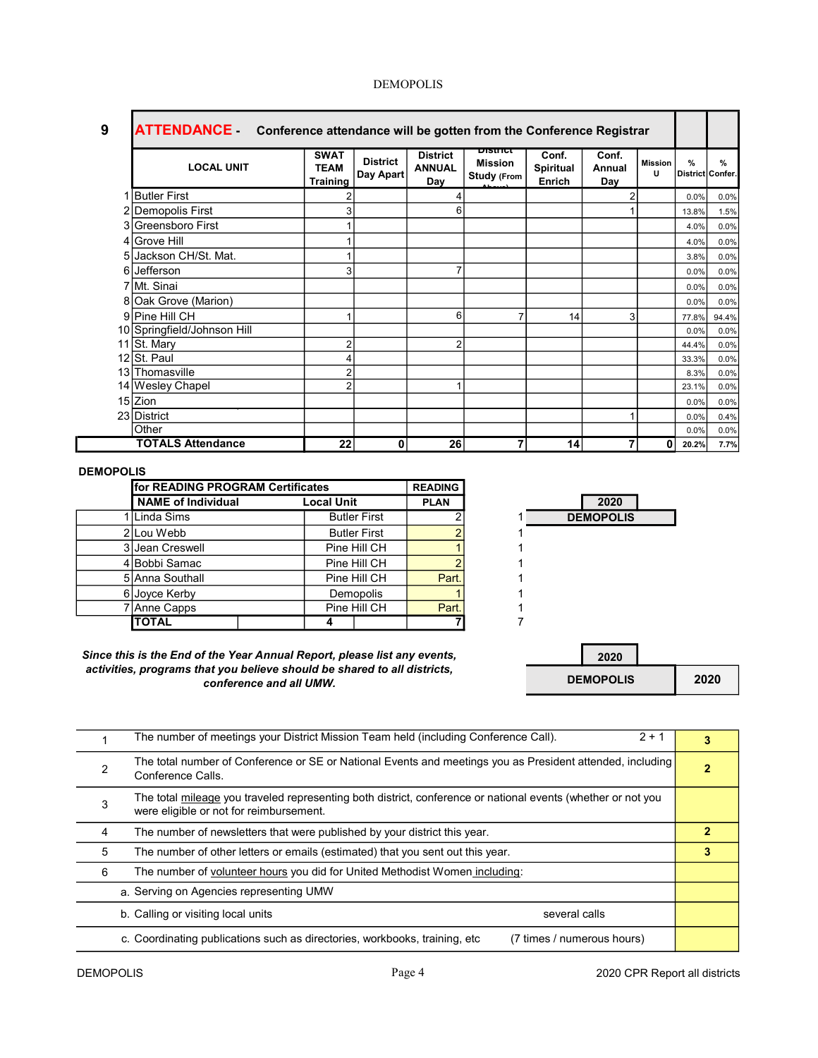| 9  | <b>ATTENDANCE</b> Conference attendance will be gotten from the Conference Registrar |                                        |                              |                                         |                                                         |                                     |                        |                     |                                   |               |
|----|--------------------------------------------------------------------------------------|----------------------------------------|------------------------------|-----------------------------------------|---------------------------------------------------------|-------------------------------------|------------------------|---------------------|-----------------------------------|---------------|
|    | <b>LOCAL UNIT</b>                                                                    | <b>SWAT</b><br><b>TEAM</b><br>Training | <b>District</b><br>Day Apart | <b>District</b><br><b>ANNUAL</b><br>Day | <b>DISTRICT</b><br><b>Mission</b><br><b>Study (From</b> | Conf.<br><b>Spiritual</b><br>Enrich | Conf.<br>Annual<br>Day | <b>Mission</b><br>U | $\frac{9}{6}$<br>District Confer. | $\frac{9}{6}$ |
|    | <b>Butler First</b>                                                                  |                                        |                              |                                         |                                                         |                                     |                        |                     | 0.0%                              | 0.0%          |
|    | 2 Demopolis First                                                                    | 3                                      |                              | 6                                       |                                                         |                                     |                        |                     | 13.8%                             | 1.5%          |
|    | 3 Greensboro First                                                                   |                                        |                              |                                         |                                                         |                                     |                        |                     | 4.0%                              | 0.0%          |
|    | 4 Grove Hill                                                                         |                                        |                              |                                         |                                                         |                                     |                        |                     | 4.0%                              | 0.0%          |
|    | Jackson CH/St. Mat.                                                                  |                                        |                              |                                         |                                                         |                                     |                        |                     | 3.8%                              | 0.0%          |
| 61 | Jefferson                                                                            | 3                                      |                              |                                         |                                                         |                                     |                        |                     | 0.0%                              | 0.0%          |
|    | 7 Mt. Sinai                                                                          |                                        |                              |                                         |                                                         |                                     |                        |                     | 0.0%                              | 0.0%          |
|    | 8 Oak Grove (Marion)                                                                 |                                        |                              |                                         |                                                         |                                     |                        |                     | 0.0%                              | 0.0%          |
|    | 9 Pine Hill CH                                                                       |                                        |                              | 6                                       |                                                         | 14                                  | 3                      |                     | 77.8%                             | 94.4%         |
|    | 10 Springfield/Johnson Hill                                                          |                                        |                              |                                         |                                                         |                                     |                        |                     | 0.0%                              | 0.0%          |
|    | 11 St. Mary                                                                          | 2                                      |                              | c                                       |                                                         |                                     |                        |                     | 44.4%                             | 0.0%          |
|    | 12 St. Paul                                                                          | 4                                      |                              |                                         |                                                         |                                     |                        |                     | 33.3%                             | 0.0%          |
|    | 13 Thomasville                                                                       | $\overline{2}$                         |                              |                                         |                                                         |                                     |                        |                     | 8.3%                              | 0.0%          |
|    | 14 Wesley Chapel                                                                     | $\overline{2}$                         |                              |                                         |                                                         |                                     |                        |                     | 23.1%                             | 0.0%          |
|    | 15 Zion                                                                              |                                        |                              |                                         |                                                         |                                     |                        |                     | 0.0%                              | 0.0%          |
|    | 23 District                                                                          |                                        |                              |                                         |                                                         |                                     |                        |                     | 0.0%                              | 0.4%          |
|    | Other                                                                                |                                        |                              |                                         |                                                         |                                     |                        |                     | 0.0%                              | 0.0%          |
|    | <b>TOTALS Attendance</b>                                                             | 22                                     | 0                            | 26                                      |                                                         | 14                                  | 7                      | 0                   | 20.2%                             | 7.7%          |

| for READING PROGRAM Certificates |  |                   |                     | <b>READING</b> |                |
|----------------------------------|--|-------------------|---------------------|----------------|----------------|
| <b>NAME of Individual</b>        |  | <b>Local Unit</b> |                     | <b>PLAN</b>    | 2020           |
| 1 I Linda Sims                   |  |                   | <b>Butler First</b> |                | <b>DEMOPOL</b> |
| 2 Lou Webb                       |  |                   | <b>Butler First</b> |                |                |
| 3 Jean Creswell                  |  |                   | Pine Hill CH        |                |                |
| 4 Bobbi Samac                    |  |                   | Pine Hill CH        |                |                |
| 5 Anna Southall                  |  |                   | Pine Hill CH        | Part.          |                |
| 6 Joyce Kerby                    |  |                   | <b>Demopolis</b>    |                |                |
| 7 Anne Capps                     |  |                   | Pine Hill CH        | Part.          |                |
| <b>TOTAL</b>                     |  |                   |                     |                |                |



Since this is the End of the Year Annual Report, please list any events, activities, programs that you believe should be shared to all districts, conference and all UMW.

| 2020             |      |
|------------------|------|
| <b>DEMOPOLIS</b> | 2020 |

|   | $2 + 1$<br>The number of meetings your District Mission Team held (including Conference Call).                                                          | 3 |  |  |  |  |  |
|---|---------------------------------------------------------------------------------------------------------------------------------------------------------|---|--|--|--|--|--|
| 2 | The total number of Conference or SE or National Events and meetings you as President attended, including<br>Conference Calls.                          |   |  |  |  |  |  |
| 3 | The total mileage you traveled representing both district, conference or national events (whether or not you<br>were eligible or not for reimbursement. |   |  |  |  |  |  |
| 4 | The number of newsletters that were published by your district this year.                                                                               |   |  |  |  |  |  |
| 5 | The number of other letters or emails (estimated) that you sent out this year.                                                                          |   |  |  |  |  |  |
| 6 | The number of volunteer hours you did for United Methodist Women including:                                                                             |   |  |  |  |  |  |
|   | a. Serving on Agencies representing UMW                                                                                                                 |   |  |  |  |  |  |
|   | b. Calling or visiting local units<br>several calls                                                                                                     |   |  |  |  |  |  |
|   | c. Coordinating publications such as directories, workbooks, training, etc.<br>(7 times / numerous hours)                                               |   |  |  |  |  |  |